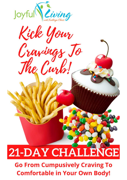

21-DAY CHALLENGE

# **Go From Cumpusively Craving To Comfortable in Your Own Body!**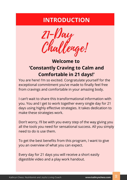## **INTRODUCTION**

21-Day Challenge!

## **Welcome to 'Constantly Craving to Calm and Comfortable in 21 days!'**

You are here! I'm so excited. Congratulate yourself for the exceptional commitment you've made to finally feel free from cravings and comfortable in your amazing body.

I can't wait to share this transformational information with you. You and I get to work together every single day for 21 days using highly effective strategies. It takes dedication to make these strategies work.

Don't worry, I'll be with you every step of the way giving you all the tools you need for sensational success. All you simply need to do is use them.

To get the best benefits from this program, I want to give you an overview of what you can expect.

Every day for 21 days you will receive a short easily digestible video and a play work handout.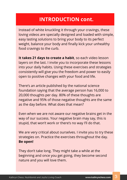### **INTRODUCTION cont.**

Instead of white knuckling it through your cravings, these loving videos are specially designed and loaded with simple, easy lasting solutions to bring your body to its perfect weight, balance your body and finally kick your unhealthy food cravings to the curb.

**It takes 21 days to create a habit**, so each video lesson layers on the last. I invite you to incorporate these lessons into your daily habits. Using these exercises and strategies consistently will give you the freedom and power to easily open to positive changes with your food and life.

There's an article published by the national science foundation saying that the average person has 16,000 to 20,000 thoughts per day. 80% of these thoughts are negative and 95% of those negative thoughts are the same as the day before. What does that mean?

Even when we are not aware our negative brains get in the way of our success. Your negative brain may say, this is stupid, that won't work or there's no way I'll do that.

We are very critical about ourselves. I invite you to try these strategies on. Practice the exercises throughout the day. **Be open!**

They don't take long. They might take a while at the beginning and once you get going, they become second nature and you will love them.